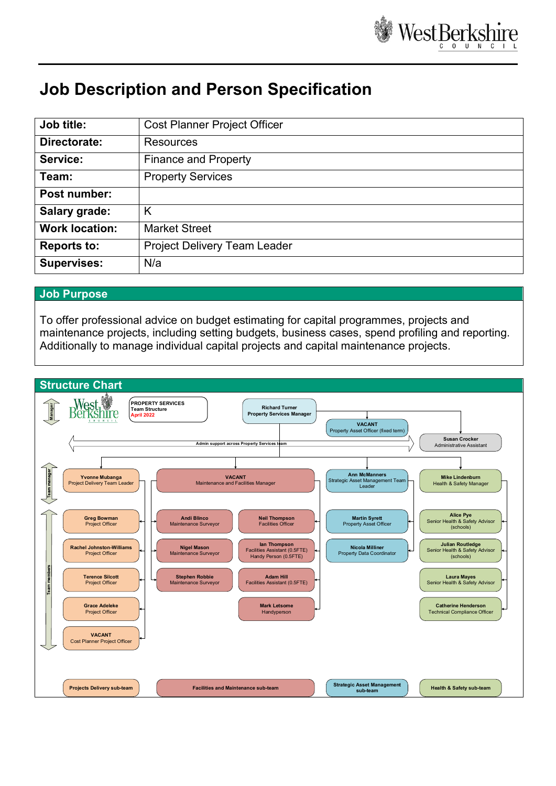

# **Job Description and Person Specification**

| Job title:            | <b>Cost Planner Project Officer</b> |
|-----------------------|-------------------------------------|
| Directorate:          | Resources                           |
| Service:              | <b>Finance and Property</b>         |
| Team:                 | <b>Property Services</b>            |
| Post number:          |                                     |
| Salary grade:         | Κ                                   |
| <b>Work location:</b> | <b>Market Street</b>                |
| <b>Reports to:</b>    | Project Delivery Team Leader        |
| <b>Supervises:</b>    | N/a                                 |

#### **Job Purpose**

To offer professional advice on budget estimating for capital programmes, projects and maintenance projects, including setting budgets, business cases, spend profiling and reporting. Additionally to manage individual capital projects and capital maintenance projects.

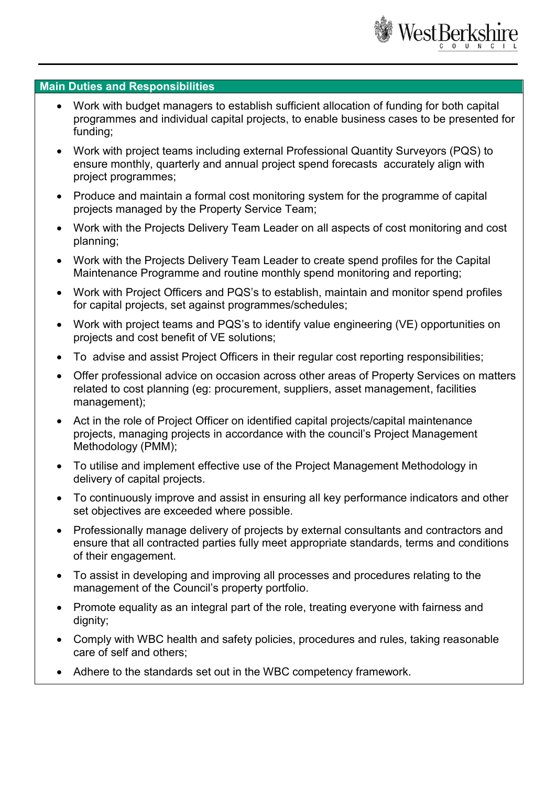

### **Main Duties and Responsibilities**

- Work with budget managers to establish sufficient allocation of funding for both capital programmes and individual capital projects, to enable business cases to be presented for funding;
- Work with project teams including external Professional Quantity Surveyors (PQS) to ensure monthly, quarterly and annual project spend forecasts accurately align with project programmes;
- Produce and maintain a formal cost monitoring system for the programme of capital projects managed by the Property Service Team;
- Work with the Projects Delivery Team Leader on all aspects of cost monitoring and cost planning;
- Work with the Projects Delivery Team Leader to create spend profiles for the Capital Maintenance Programme and routine monthly spend monitoring and reporting;
- Work with Project Officers and PQS's to establish, maintain and monitor spend profiles for capital projects, set against programmes/schedules;
- Work with project teams and PQS's to identify value engineering (VE) opportunities on projects and cost benefit of VE solutions;
- To advise and assist Project Officers in their regular cost reporting responsibilities;
- Offer professional advice on occasion across other areas of Property Services on matters related to cost planning (eg: procurement, suppliers, asset management, facilities management);
- Act in the role of Project Officer on identified capital projects/capital maintenance projects, managing projects in accordance with the council's Project Management Methodology (PMM);
- To utilise and implement effective use of the Project Management Methodology in delivery of capital projects.
- To continuously improve and assist in ensuring all key performance indicators and other set objectives are exceeded where possible.
- Professionally manage delivery of projects by external consultants and contractors and ensure that all contracted parties fully meet appropriate standards, terms and conditions of their engagement.
- To assist in developing and improving all processes and procedures relating to the management of the Council's property portfolio.
- Promote equality as an integral part of the role, treating everyone with fairness and dignity;
- Comply with WBC health and safety policies, procedures and rules, taking reasonable care of self and others;
- Adhere to the standards set out in the WBC competency framework.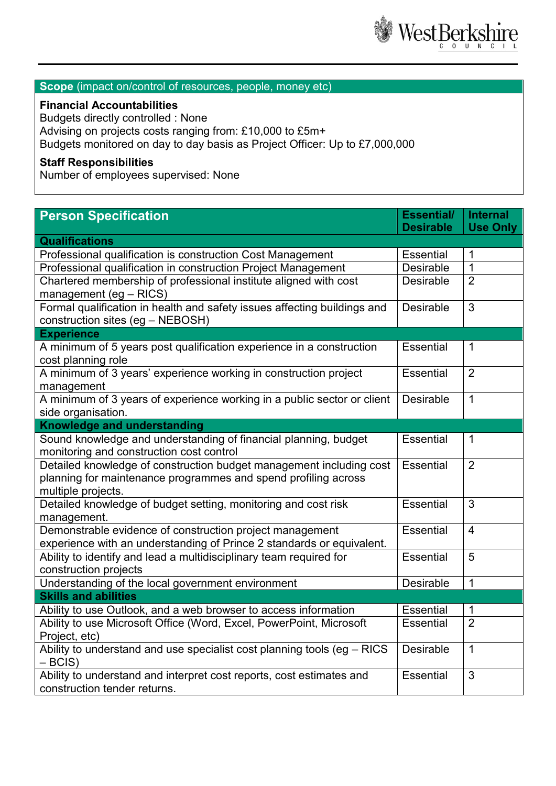

# **Scope** (impact on/control of resources, people, money etc)

## **Financial Accountabilities**

Budgets directly controlled : None Advising on projects costs ranging from: £10,000 to £5m+ Budgets monitored on day to day basis as Project Officer: Up to £7,000,000

# **Staff Responsibilities**

Number of employees supervised: None

| <b>Person Specification</b>                                                                   | <b>Essential/</b><br><b>Desirable</b> | <b>Internal</b><br><b>Use Only</b> |
|-----------------------------------------------------------------------------------------------|---------------------------------------|------------------------------------|
| <b>Qualifications</b>                                                                         |                                       |                                    |
| Professional qualification is construction Cost Management                                    | <b>Essential</b>                      | 1                                  |
| Professional qualification in construction Project Management                                 | Desirable                             | 1                                  |
| Chartered membership of professional institute aligned with cost                              | <b>Desirable</b>                      | $\overline{2}$                     |
| management (eg - RICS)                                                                        |                                       |                                    |
| Formal qualification in health and safety issues affecting buildings and                      |                                       | 3                                  |
| construction sites (eg - NEBOSH)                                                              |                                       |                                    |
| <b>Experience</b>                                                                             |                                       |                                    |
| A minimum of 5 years post qualification experience in a construction                          | <b>Essential</b>                      | 1                                  |
| cost planning role                                                                            |                                       |                                    |
| A minimum of 3 years' experience working in construction project                              | <b>Essential</b>                      | $\overline{2}$                     |
| management                                                                                    |                                       |                                    |
| A minimum of 3 years of experience working in a public sector or client<br>side organisation. | <b>Desirable</b>                      | 1                                  |
| <b>Knowledge and understanding</b>                                                            |                                       |                                    |
| Sound knowledge and understanding of financial planning, budget                               | <b>Essential</b>                      | 1                                  |
| monitoring and construction cost control                                                      |                                       |                                    |
| Detailed knowledge of construction budget management including cost                           | <b>Essential</b>                      | 2                                  |
| planning for maintenance programmes and spend profiling across                                |                                       |                                    |
| multiple projects.                                                                            |                                       |                                    |
| Detailed knowledge of budget setting, monitoring and cost risk                                | <b>Essential</b>                      | 3                                  |
| management.                                                                                   |                                       |                                    |
| Demonstrable evidence of construction project management                                      | <b>Essential</b>                      | $\overline{4}$                     |
| experience with an understanding of Prince 2 standards or equivalent.                         |                                       |                                    |
| Ability to identify and lead a multidisciplinary team required for                            | <b>Essential</b>                      | 5                                  |
| construction projects                                                                         |                                       |                                    |
| Understanding of the local government environment                                             | <b>Desirable</b>                      | 1                                  |
| <b>Skills and abilities</b>                                                                   |                                       |                                    |
| Ability to use Outlook, and a web browser to access information                               | <b>Essential</b>                      | 1                                  |
| Ability to use Microsoft Office (Word, Excel, PowerPoint, Microsoft                           | <b>Essential</b>                      | $\overline{2}$                     |
| Project, etc)                                                                                 |                                       |                                    |
| Ability to understand and use specialist cost planning tools (eg - RICS<br>$-BCIS$            | <b>Desirable</b>                      | $\overline{1}$                     |
| Ability to understand and interpret cost reports, cost estimates and                          | <b>Essential</b>                      | 3                                  |
| construction tender returns.                                                                  |                                       |                                    |